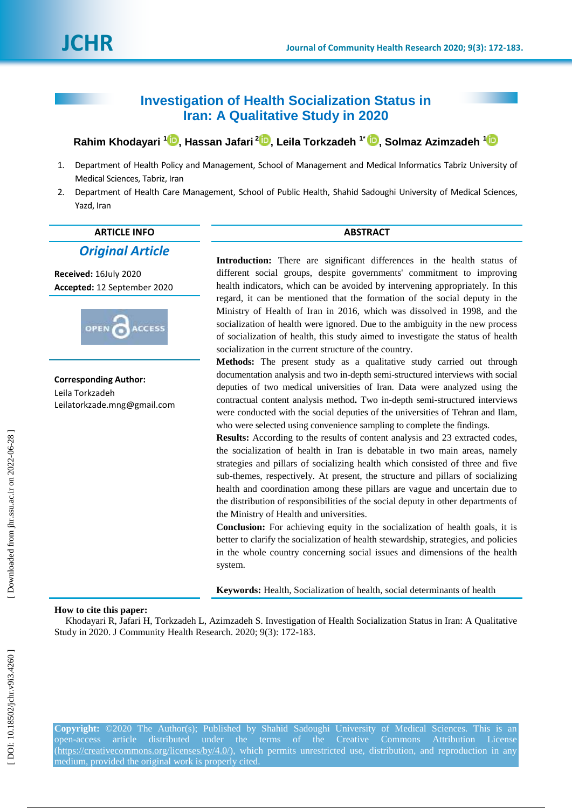# **Investigation of Health Socialization Status in Iran: A Qualitative Study in 2020**

# **Rahim Khodayari [1](https://orcid.org/0000-0003-1626-4505) , Hassan Jafari 2 , Leila Torkzadeh 1\* , Solmaz Azimzadeh 1**

- 1 . Department of Health Policy and Management, School of Management and Medical Informatics Tabriz University of Medical Sciences, Tabriz, Iran
- 2. . Department of Health Care Management, School of Public Health, Shahid Sadoughi University of Medical Sciences, Yazd, Iran

## **ARTICLE INFO ABSTRACT**

*Original Article*

**Received:**  1 6 July 2020 **Accepted:** 12 September 2020



**Corresponding Author:** Leila Torkzadeh Leilatorkzade.mng@gmail.com

Introduction: There are significant differences in the health status of different social groups, despite governments' commitment to improving health indicators, which can be avoided by intervening appropriately. In this regard, it can be mentioned that the formation of the social deputy in the Ministry of Health of Iran in 2016, which was dissolved in 1998, and the socialization of health were ignored. Due to the ambiguity in the new process of socialization of health, this study aimed to investigate the status of health socialization in the current structure of the country.

**Method s:** The present study as a qualitative study carried out through documentation analysis and two in -depth semi -structured interviews with social deputies of two medical universities of Iran. Data were analyzed using the contractual content analysis method **.** Two in -depth semi -structured interviews were conducted with the social deputies of the universities of Tehran and Ilam, who were selected using convenience sampling to complete the findings .

**Results:** According to the results of content analysis and 23 extracted codes, the socialization of health in Iran is debatable in two main areas, namely strategies and pillars of socializing health which consisted of three and five sub -themes, respectively. At present, the structure and pillars of socializing health and coordination among these pillars are vague and uncertain due to the distribution of responsibilities of the social deputy in other departments of the Ministry of Health and universities.

**Conclusion:** For achieving equity in the socialization of health goals, it is better to clarify the socialization of health stewardship, strategies, and policies in the whole country concerning social issues and dimensions of the health system.

**Keywords:** Health, Socialization of health, social determinants of health

#### **How to cite this paper:**

Khodayari R, Jafari H, Torkzadeh L, Azimzadeh S . Investigation of Health Socialization Status in Iran: A Qualitative Study in 2020. J Community Health Research. 2020; 9(3): 172-183.

**Copyright:** ©2020 The Author(s); Published by Shahid Sadoughi University of Medical Sciences. This is an open-access article distributed under the terms of the Creative Commons Attribution License [\(https://creativecommons.org/licenses/by/4.0/\)](https://creativecommons.org/licenses/by/4.0/), which permits unrestricted use, distribution, and reproduction in any medium, provided the original work is properly cited.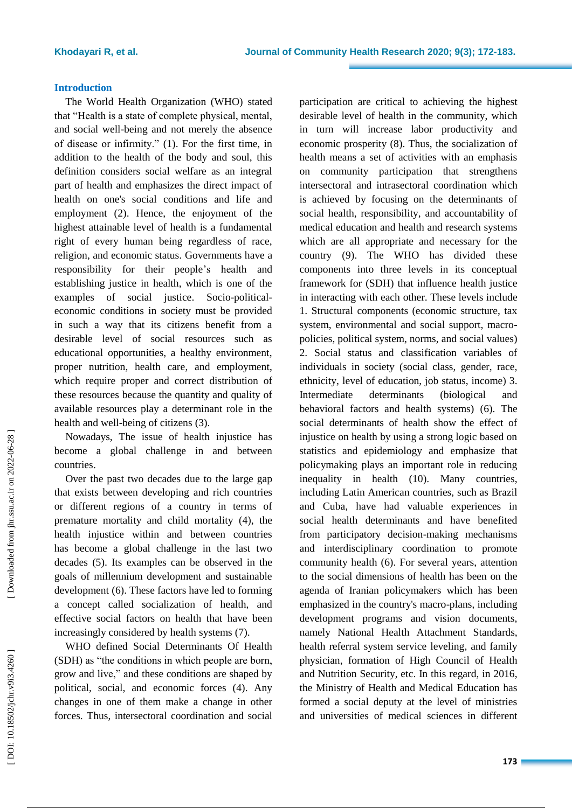## **Introduction**

The World Health Organization (WHO) stated that "Health is a state of complete physical, mental, and social well -being and not merely the absence of disease or infirmity." (1). For the first time, in addition to the health of the body and soul, this definition considers social welfare as an integral part of health and emphasizes the direct impact of health on one's social conditions and life and employment (2). Hence, the enjoyment of the highest attainable level of health is a fundamental right of every human being regardless of race, religion , and economic status. Governments have a responsibility for their people's health and establishing justice in health, which is one of the examples of social justice. Socio -political economic conditions in society must be provided in such a way that its citizens benefit from a desirable level of social resources such as educational opportunities, a healthy environment, proper nutrition, health care , and employment, which require proper and correct distribution of these resources because the quantity and quality of available resources play a determinant role in the health and well -being of citizens (3).

Nowadays, The issue of health injustice has become a global challenge in and between countries .

Over the past two decades due to the large gap that exists between developing and rich countries or different regions of a country in terms of premature mortality and child mortality (4) , the health injustice within and between countries has become a global challenge in the last two decades (5). Its examples can be observed in the goals of millennium development and sustainable development (6). These factors have led to forming a concept called socialization of health, and effective social factors on health that have been increasingly considered by health systems (7) .

WHO defined Social Determinants Of Health (SDH) as "the conditions in which people are born, grow and live," and these conditions are shaped by political, social, and economic forces ( 4 ). Any change s in one of them make a change in other forces. Thus, intersectoral coordination and social

participation are critical to achieving the highest desirable level of health in the community, which in turn will increase labor productivity and economic prosperity (8). Thus, the socialization of health means a set of activities with an emphasis on community participation that strengthens intersectoral and intrasectoral coordination which is achieved by focusing on the determinants of social health, responsibility , and accountability of medical education and health and research systems which are all appropriate and necessary for the country (9) . The WHO has divided these components into three levels in its conceptual framework for (SDH) that influence health justice in interacting with each other . These levels include 1. Structural components (economic structure, tax system, environmental and social support, macro policies, political system, norms , and social values) 2. Social status and classification variables of individuals in society (social class, gender, race, ethnicity, level of education, job status, income) 3. Intermediate determinants (biological and behavioral factors and health systems) (6). The social determinants of health show the effect of injustice on health by using a strong logic based on statistics and epidemiology and emphasize that policymaking plays an important role in reducing inequality in health (10). Many countries, including Latin American countries, such as Brazil and Cuba, have had valuable experiences in social health determinants and have benefited from participatory decision -making mechanisms and interdisciplinary coordination to promote community health (6) . For several years, attention to the social dimensions of health has been on the agenda of Iranian policymakers which has been emphasized in the country's macro -plans, including development programs and vision documents, namely National Health Attachment Standards , health referral system service leveling , and family physician, formation of High Council of Health and Nutrition Security, etc. In this regard, in 2016, the Ministry of Health and Medical Education has formed a social deputy at the level of ministries and universities of medical sciences in different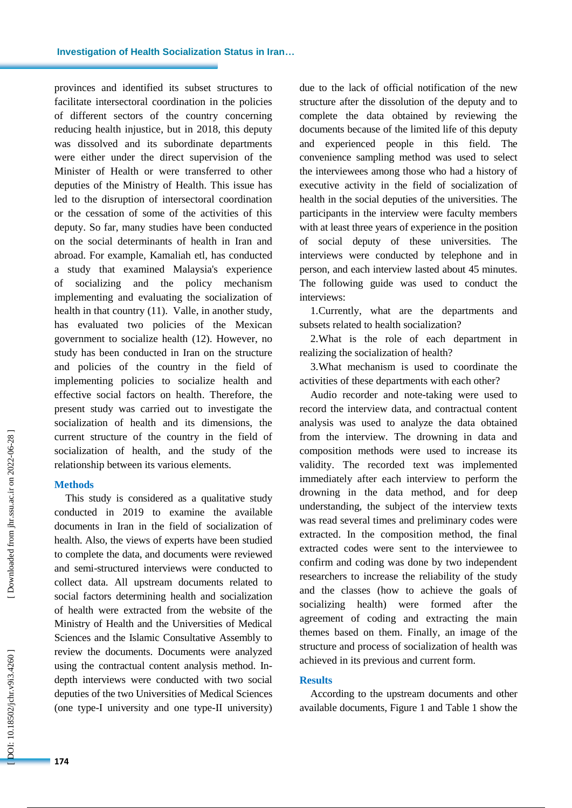provinces and identified its subset structures to facilitate intersectoral coordination in the policies of different sectors of the country concerning reducing health injustice, but in 2018, this deputy was dissolved and its subordinate departments were either under the direct supervision of the Minister of Health or were transferred to other deputies of the Ministry of Health. This issue has led to the disruption of intersectoral coordination or the cessation of some of the activities of this deputy. So far, many studies have been conducted on the social determinants of health in Iran and abroad. For example, Kamaliah etl, has conducted a study that examined Malaysia's experience of socializing and the policy mechanism implementing and evaluating the socialization of health in that country (11). Valle, in another study, has evaluated two policies of the Mexican government to socialize health (12). However, no study has been conducted in Iran on the structure and policies of the country in the field of implementing policies to socialize health and effective social factors on health. Therefore, the present study was carried out to investigate the socialization of health and its dimensions, the current structure of the country in the field of socialization of health , and the study of the relationship between its various elements.

### **Methods**

This study is considered as a qualitative study conducted in 2019 to examine the available documents in Iran in the field of socialization of health. Also, the views of experts have been studied to complete the data, and documents were reviewed and semi -structured interviews were conducted to collect data. All upstream documents related to social factors determining health and socialization of health were extracted from the website of the Ministry of Health and the Universities of Medical Sciences and the Islamic Consultative Assembly to review the documents. Documents were analyzed using the contractual content analysis method. In depth interviews were conducted with two social deputies of the two Universities of Medical Sciences (one type -I university and one type -II university) due to the lack of official notification of the new structure after the dissolution of the deputy and to complete the data obtained by reviewing the documents because of the limited life of this deputy and experienced people in this field. The convenience sampling method was used to select the interviewees among those who had a history of executive activity in the field of socialization of health in the social deputies of the universities. The participants in the interview were faculty members with at least three years of experience in the position of social deputy of these universities. The interviews were conducted by telephone and in person, and each interview lasted about 45 minutes. The following guide was used to conduct the interviews:

1.Currently, what are the departments and subsets related to health socialization?

2.What is the role of each department in realizing the socialization of health?

3.What mechanism is used to coordinate the activities of these departments with each other?

Audio recorder and note-taking were used to record the interview data, and contractual content analysis was used to analyze the data obtained from the interview. The drowning in data and composition methods were used to increase its validity. The recorded text was implemented immediately after each interview to perform the drowning in the data method, and for deep understanding , the subject of the interview texts was read several times and preliminary codes were extracted. In the composition method, the final extracted codes were sent to the interviewee to confirm and coding was done by two independent researchers to increase the reliability of the study and the classes (how to achieve the goals of socializing health) were formed after the agreement of coding and extracting the main themes based on them. Finally, an image of the structure and process of socialization of health was achieved in its previous and current form.

## **Results**

According to the upstream documents and other available documents, Figure 1 and Table 1 show the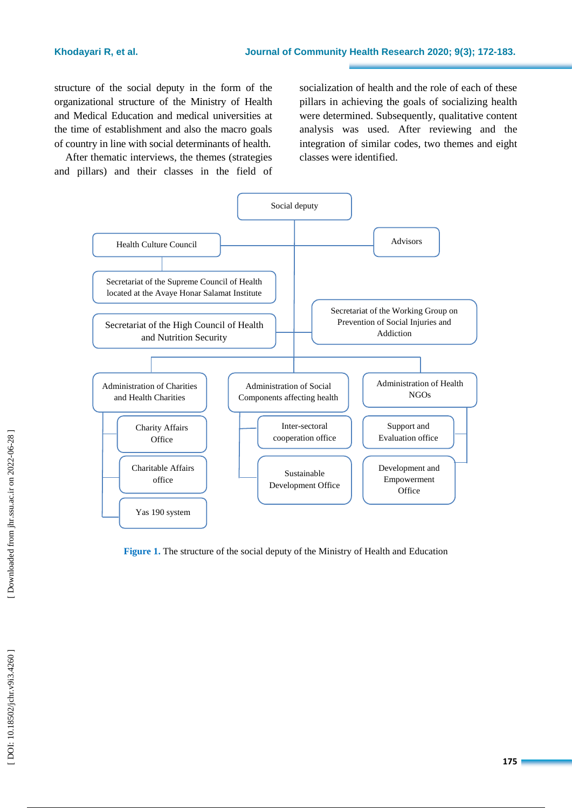structure of the social deputy in the form of the organizational structure of the Ministry of Health and Medical Education and medical universities at the time of establishment and also the macro goals of country in line with social determinants of health.

After thematic interviews, the themes (strategies and pillars) and their classes in the field of socialization of health and the role of each of these pillars in achieving the goals of socializing health were determined. Subsequently, qualitative content analysis was used. After reviewing and the integration of similar codes, two themes and eight classes were identified.



**Figure 1.** The structure of the social deputy of the Ministry of Health and Education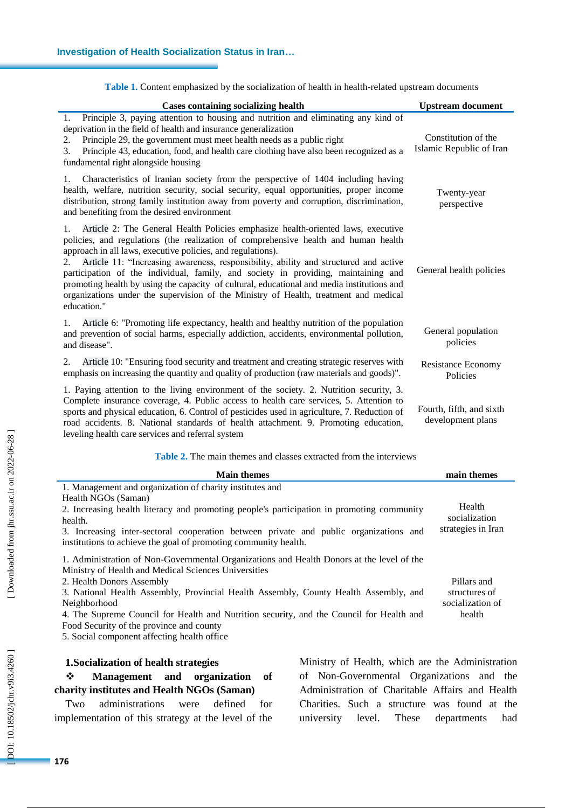Table 1. Content emphasized by the socialization of health in health-related upstream documents

| <b>Cases containing socializing health</b>                                                                                                                                                                                                                                                                                                                                                                                                                                                                                                                                                                                            | <b>Upstream document</b>                                   |
|---------------------------------------------------------------------------------------------------------------------------------------------------------------------------------------------------------------------------------------------------------------------------------------------------------------------------------------------------------------------------------------------------------------------------------------------------------------------------------------------------------------------------------------------------------------------------------------------------------------------------------------|------------------------------------------------------------|
| Principle 3, paying attention to housing and nutrition and eliminating any kind of<br>1.<br>deprivation in the field of health and insurance generalization<br>Principle 29, the government must meet health needs as a public right<br>2.<br>Principle 43, education, food, and health care clothing have also been recognized as a<br>3.<br>fundamental right alongside housing                                                                                                                                                                                                                                                     | Constitution of the<br>Islamic Republic of Iran            |
| Characteristics of Iranian society from the perspective of 1404 including having<br>1.<br>health, welfare, nutrition security, social security, equal opportunities, proper income<br>distribution, strong family institution away from poverty and corruption, discrimination,<br>and benefiting from the desired environment                                                                                                                                                                                                                                                                                                        | Twenty-year<br>perspective                                 |
| Article 2: The General Health Policies emphasize health-oriented laws, executive<br>1.<br>policies, and regulations (the realization of comprehensive health and human health<br>approach in all laws, executive policies, and regulations).<br>Article 11: "Increasing awareness, responsibility, ability and structured and active<br>2.<br>participation of the individual, family, and society in providing, maintaining and<br>promoting health by using the capacity of cultural, educational and media institutions and<br>organizations under the supervision of the Ministry of Health, treatment and medical<br>education." | General health policies                                    |
| Article 6: "Promoting life expectancy, health and healthy nutrition of the population<br>1.<br>and prevention of social harms, especially addiction, accidents, environmental pollution,<br>and disease".                                                                                                                                                                                                                                                                                                                                                                                                                             | General population<br>policies                             |
| Article 10: "Ensuring food security and treatment and creating strategic reserves with<br>2.<br>emphasis on increasing the quantity and quality of production (raw materials and goods)".                                                                                                                                                                                                                                                                                                                                                                                                                                             | <b>Resistance Economy</b><br>Policies                      |
| 1. Paying attention to the living environment of the society. 2. Nutrition security, 3.<br>Complete insurance coverage, 4. Public access to health care services, 5. Attention to<br>sports and physical education, 6. Control of pesticides used in agriculture, 7. Reduction of<br>road accidents. 8. National standards of health attachment. 9. Promoting education,<br>leveling health care services and referral system                                                                                                                                                                                                         | Fourth, fifth, and sixth<br>development plans              |
| <b>Table 2.</b> The main themes and classes extracted from the interviews                                                                                                                                                                                                                                                                                                                                                                                                                                                                                                                                                             |                                                            |
| <b>Main themes</b>                                                                                                                                                                                                                                                                                                                                                                                                                                                                                                                                                                                                                    | main themes                                                |
| 1. Management and organization of charity institutes and<br>Health NGOs (Saman)<br>2. Increasing health literacy and promoting people's participation in promoting community<br>health.<br>3. Increasing inter-sectoral cooperation between private and public organizations and<br>institutions to achieve the goal of promoting community health.                                                                                                                                                                                                                                                                                   | Health<br>socialization<br>strategies in Iran              |
| 1. Administration of Non-Governmental Organizations and Health Donors at the level of the<br>Ministry of Health and Medical Sciences Universities<br>2. Health Donors Assembly<br>3. National Health Assembly, Provincial Health Assembly, County Health Assembly, and<br>Neighborhood<br>4. The Supreme Council for Health and Nutrition security, and the Council for Health and<br>Food Security of the province and county<br>5. Social component affecting health office                                                                                                                                                         | Pillars and<br>structures of<br>socialization of<br>health |

# **1 .Socialization of health strategies**

# **Management and organization of charity institutes and Health NGOs (Saman)**

Two administrations were defined for implementation of this strategy at the level of the Ministry of Health, which are the Administration of Non -Governmental Organizations and the Administration of Charitable Affairs and Health Charities. Such a structure was found at the university level. These departments had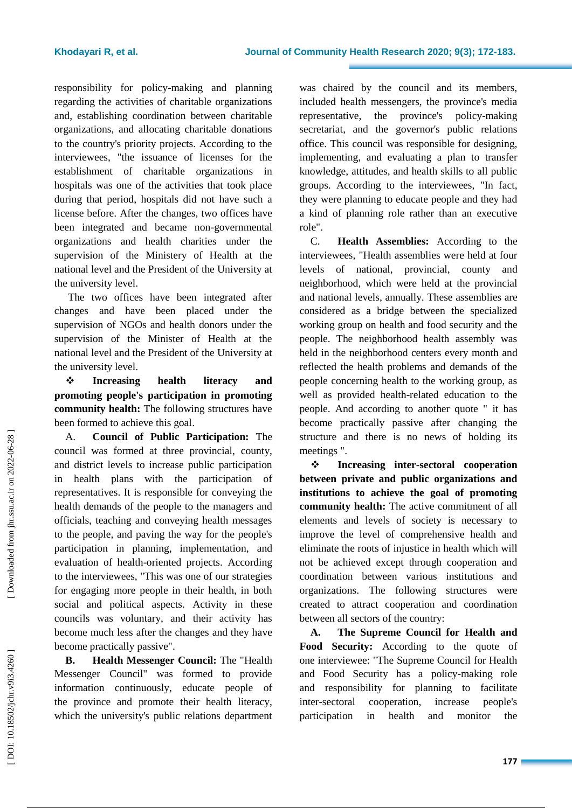responsibility for policy -making and planning regarding the activities of charitable organizations and, establishing coordination between charitable organizations, and allocating charitable donations to the country's priority projects. According to the interviewees, "the issuance of licenses for the establishment of charitable organizations in hospitals was one of the activities that took place during that period, hospitals did not have such a license before. After the changes, two offices have been integrated and became non -governmental organizations and health charities under the supervision of the Minister y of Health at the national level and the President of the University at the university level.

The two offices have been integrated after changes and have been placed under the supervision of NGOs and health donors under the supervision of the Minister of Health at the national level and the President of the University at the university level.

 **Increasing health literacy and promoting people's participation in promoting community health :** The following structures have been formed to achieve this goal .

A. **Council of Public Participation:** The council was formed at three provincial, county , and district levels to increase public participation in health plans with the participation of representatives. It is responsible for conveying the health demands of the people to the managers and officials, teaching and conveying health messages to the people, and paving the way for the people's participation in planning, implementation , and evaluation of health -oriented projects. According to the interviewees, "This was one of our strategies for engaging more people in their health, in both social and political aspects. Activity in these councils was voluntary, and their activity has become much less after the changes and they have become practically passive".

**B. Health Messenger Council:** The "Health Messenger Council" was formed to provide information continuously, educate people of the province and promot e their health literacy, which the university's public relations department

was chaired by the council and its members, included health messengers, the province's media representative, the province's policy -making secretariat, and the governor's public relations office. This council was responsible for designing, implementing , and evaluating a plan to transfer knowledge, attitudes , and health skills to all public groups. According to the interviewees, "In fact, they were planning to educate people and they had a kind of planning role rather than an executive role" .

C. **Health Assemblies:** According to the interviewees, "Health assemblies were held at four levels of national, provincial, county and neighborhood, which were held at the provincial and national levels , annually. These assemblies are considered as a bridge between the specialized working group on health and food security and the people. The neighborhood health assembly was held in the neighborhood centers every month and reflected the health problems and demands of the people concerning health to the working group, as well as provided health -related education to the people. And according to another quote " it has become practically passive after changing the structure and there is no news of holding its meetings " .

 **Increasing inter -sectoral cooperation between private and public organizations and institutions to achieve the goal of promoting community health:** The active commitment of all elements and levels of society is necessary to improve the level of comprehensive health and eliminate the roots of injustice in health which will not be achieved except through cooperation and coordination between various institutions and organizations . The following structures were created to attract cooperation and coordination between all sectors of the country:

**A. The Supreme Council for Health and Food Security:** According to the quote of one interviewee: "The Supreme Council for Health and Food Security has a policy -making role and responsibility for planning to facilitate inter-sectoral cooperation, increase people's participation in health and monitor the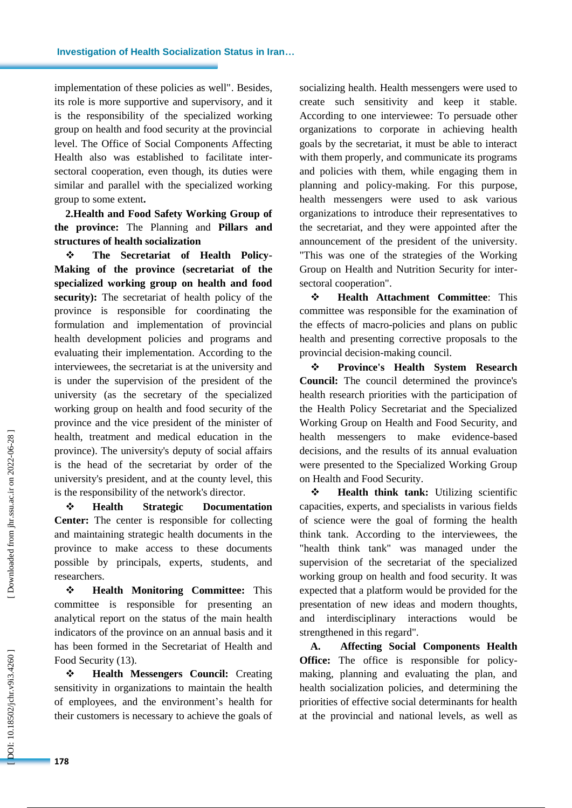implementation of these policies as well". Besides, its role is more supportive and supervisory, and it is the responsibility of the specialized working group on health and food security at the provincial level. The Office of Social Components Affecting Health also was established to facilitate inter sectoral cooperation, even though, its duties were similar and parallel with the specialized working group to some extent **.**

**2 .Health and Food Safety Working Group of the province :** The Planning and **Pillars and structures of health socialization**

 **The Secretariat of Health Policy - Making of the province (secretariat of the specialized working group on health and food security):** The secretariat of health policy of the province is responsible for coordinating the formulation and implementation of provincial health development policies and programs and evaluating their implementation. According to the interviewees, the secretariat is at the university and is under the supervision of the president of the university (as the secretary of the specialized working group on health and food security of the province and the vice president of the minister of health, treatment and medical education in the province). The university's deputy of social affairs is the head of the secretariat by order of the university's president, and at the county level, this is the responsibility of the network's director.

 **Health Strategic Documentation Center:** The center is responsible for collecting and maintaining strategic health documents in the province to make access to these documents possible by principals, experts, students , and researchers.

 **Health Monitoring Committee:** This committee is responsible for presenting an analytical report on the status of the main health indicators of the province on an annual basis and it has been formed in the Secretariat of Health and Food Security (13) .

 **Health Messengers Council:** Creating sensitivity in organizations to maintain the health of employees, and the environment's health for their customers is necessary to achieve the goals of socializing health. Health messengers were used to create such sensitivity and keep it stable. According to one interviewee: To persuade other organizations to corporate in achieving health goals by the secretariat, it must be able to interact with them properly, and communicate its programs and policies with them, while engaging them in planning and policy -making. For this purpose, health messengers were used to ask various organizations to introduce their representatives to the secretariat, and they were appointed after the announcement of the president of the university . "This was one of the strategies of the Working Group on Health and Nutrition Security for inter sectoral cooperation" .

 **Health Attachment Committee**: This committee was responsible for the examination of the effects of macro -policies and plans on public health and presenting corrective proposals to the provincial decision -making council.

 **Province's Health System Research Council:** The council determined the province's health research priorities with the participation of the Health Policy Secretariat and the Specialized Working Group on Health and Food Security, and health messengers to make evidence -based decisions, and the results of its annual evaluation were presented to the Specialized Working Group on Health and Food Security.

 $\div$  **Health think tank:** Utilizing scientific capacities, experts, and specialists in various fields of science were the goal of forming the health think tank . According to the interviewees, the "health think tank" was managed under the supervision of the secretariat of the specialized working group on health and food security. It was expected that a platform would be provided for the presentation of new ideas and modern thoughts, and interdisciplinary interactions would be strengthened in this regard " .

**A. Affecting Social Components Health Office:** The office is responsible for policymaking, planning and evaluating the plan, and health socialization policies, and determining the priorities of effective social determinants for health at the provincial and national levels, as well as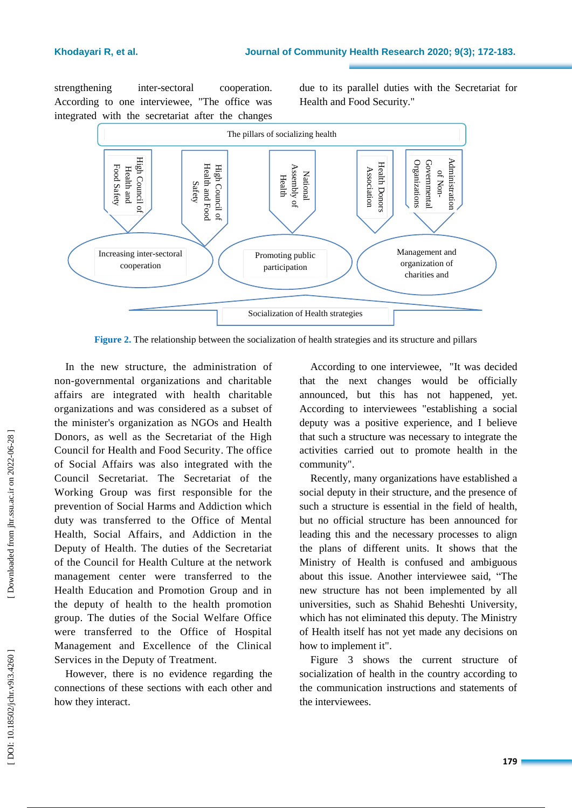strengthening inter-sectoral cooperation. According to one interviewee, "The office was integrated with the secretariat after the changes

due to its parallel duties with the Secretariat for Health and Food Security."



**Figure 2.** The relationship between the socialization of health strategies and its structure and pillars

In the new structure, the administration of non -governmental organizations and charitable affairs are integrated with health charitable organizations and was considered as a subset of the minister's organization as NGOs and Health Donors, as well as the Secretariat of the High Council for Health and Food Security. The office of Social Affairs was also integrated with the Council Secretariat. The Secretariat of the Working Group was first responsible for the prevention of Social Harms and Addiction which duty was transferred to the Office of Mental Health, Social Affairs , and Addiction in the Deputy of Health. The duties of the Secretariat of the Council for Health Culture at the network management center were transferred to the Health Education and Promotion Group and in the deputy of health to the health promotion group. The duties of the Social Welfare Office were transferred to the Office of Hospital Management and Excellence of the Clinical Services in the Deputy of Treatment.

However, there is no evidence regarding the connections of these sections with each other and how they interact .

According to one interviewee, "It was decided that the next changes would be officially announced, but this has not happened, yet. According to interviewees "establishing a social deputy was a positive experience, and I believe that such a structure was necessary to integrate the activities carried out to promote health in the community" .

Recently, many organizations have established a social deputy in their structure, and the presence of such a structure is essential in the field of health, but no official structure has been announced for leading this and the necessary processes to align the plans of different units. It shows that the Ministry of Health is confused and ambiguous about this issue. Another interviewee said, "The new structure has not been implemented by all universities, such as Shahid Beheshti University, which has not eliminated this deputy. The Ministry of Health itself has not yet made any decisions on how to implement it" .

Figure 3 shows the current structure of socialization of health in the country according to the communication instructions and statements of the interviewees.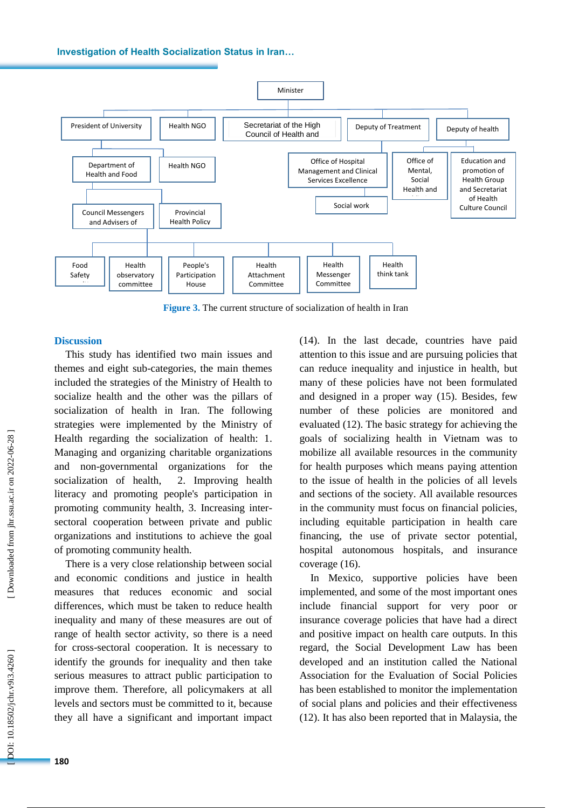#### **Investigation of Health Socialization Status in Iran…**



**Figure 3.** The current structure of socialization of health in Iran

### **Discussion**

This study has identified two main issues and themes and eight sub -categories, the main themes included the strategies of the Ministry of Health to socialize health and the other was the pillars of socialization of health in Iran. The following strategies were implemented by the Ministry of Health regarding the socialization of health: 1. Managing and organizing charitable organizations and non -governmental organizations for the socialization of health. , 2. Improving health literacy and promoting people's participation in promoting community health , 3. Increasing inter sectoral cooperation between private and public organizations and institutions to achieve the goal of promoting community health.

There is a very close relationship between social and economic conditions and justice in health measures that reduces economic and social differences, which must be taken to reduce health inequality and many of these measures are out of range of health sector activity, so there is a need for cross -sectoral cooperation. It is necessary to identify the grounds for inequality and then take serious measures to attract public participation to improve them. Therefore, all policymakers at all levels and sectors must be committed to it, because they all have a significant and important impact

(14) . In the last decade, countries have paid attention to this issue and are pursuing policies that can reduce inequality and injustice in health, but many of these policies have not been formulated and designed in a proper way (15). Besides, few number of these policies are monitored and evaluated (12). The basic strategy for achieving the goals of socializing health in Vietnam was to mobilize all available resources in the community for health purposes which means paying attention to the issue of health in the policies of all levels and sections of the society. All available resources in the community must focus on financial policies, including equitable participation in health care financing, the use of private sector potential, hospital autonomous hospitals, and insurance coverage (16) .

In Mexico, supportive policies have been implemented, and some of the most important ones include financial support for very poor or insurance coverage policies that have had a direct and positive impact on health care outputs. In this regard, the Social Development Law has been developed and an institution called the National Association for the Evaluation of Social Policies has been established to monitor the implementation of social plans and policies and their effectiveness (12). It has also been reported that in Malaysia, the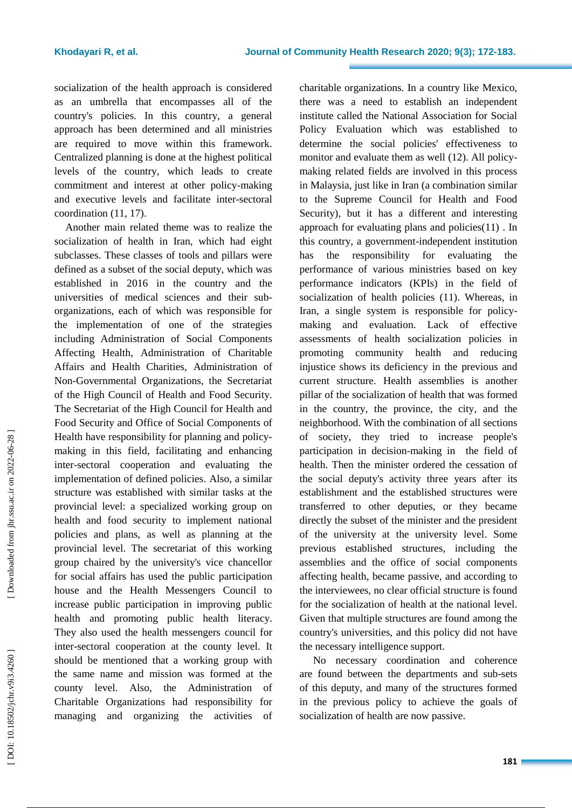socialization of the health approach is considered as an umbrella that encompasses all of the country's policies. In this country, a general approach has been determined and all ministries are required to move within this framework. Centralized planning is done at the highest political levels of the country, which leads to create commitment and interest at other policy -making and executive levels and facilitate inter -sectoral coordination (11, 17) .

Another main related theme was to realize the socialization of health in Iran, which had eight subclasses. These classes of tools and pillars were defined as a subset of the social deputy, which was established in 2016 in the country and the universities of medical sciences and their sub organizations, each of which was responsible for the implementation of one of the strategies including Administration of Social Components Affecting Health, Administration of Charitable Affairs and Health Charities, Administration of Non -Governmental Organizations, the Secretariat of the High Council of Health and Food Security. The Secretariat of the High Council for Health and Food Security and Office of Social Components of Health have responsibility for planning and policy making in this field, facilitating and enhancing inter -sectoral cooperation and evaluating the implementation of defined policies. Also, a similar structure was established with similar tasks at the provincial level: a specialized working group on health and food security to implement national policies and plans, as well as planning at the provincial level. The secretariat of this working group chaired by the university's vice chancellor for social affairs has used the public participation house and the Health Messengers Council to increase public participation in improving public health and promoting public health literacy. They also used the health messengers council for inter -sectoral cooperation at the county level. It should be mentioned that a working group with the same name and mission was formed at the county level. Also, the Administration of Charitable Organizations had responsibility for managing and organizing the activities of

charitable organizations. In a country like Mexico, there was a need to establish an independent institute called the National Association for Social Policy Evaluation which was established to determine the social policies' effectiveness to monitor and evaluate them as well (12) . All policy making related fields are involved in this process in Malaysia, just like in Iran (a combination similar to the Supreme Council for Health and Food Security), but it has a different and interesting approach for evaluating plans and policies(11) . In this country, a government -independent institution has the responsibility for evaluating the performance of various ministries based on key performance indicators (KPIs) in the field of socialization of health policies (11). Whereas, in Iran, a single system is responsible for policy making and evaluation. Lack of effective assessments of health socialization policies in promoting community health and reducing injustice shows its deficiency in the previous and current structure. Health assemblies is another pillar of the socialization of health that was formed in the country, the province, the city , and the neighborhood . With the combination of all sections of society, they tried to increase people's participation in decision -making in the field of health . Then the minister ordered the cessation of the social deputy's activity three years after its establishment and the established structures were transferred to other deputies, or they became directly the subset of the minister and the president of the university at the university level. Some previous established structures, including the assemblies and the office of social components affecting health , became passive, and according to the interviewees, no clear official structure is found for the socialization of health at the national level. Given that multiple structures are found among the country's universities, and this policy did not have the necessary intelligence support.

No necessary coordination and coherence are found between the departments and sub -sets of this deputy, and many of the structures formed in the previous policy to achieve the goals of socialization of health are now passive.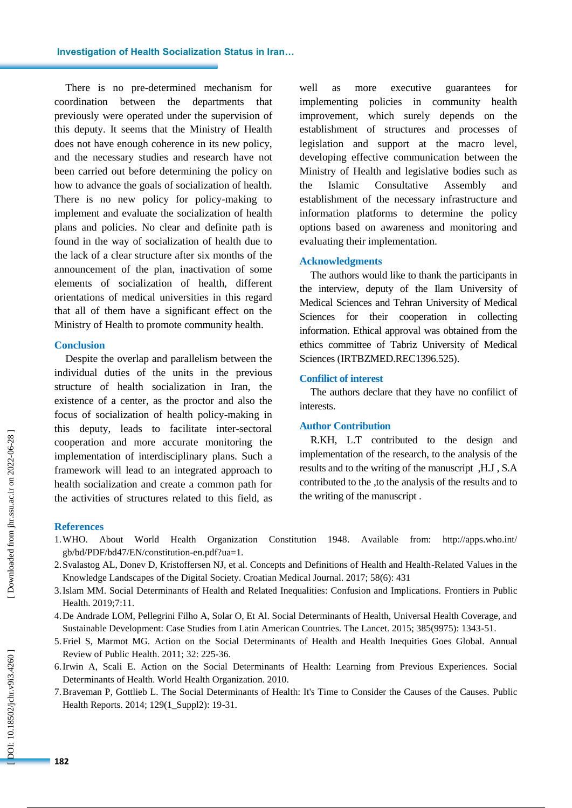#### **Investigation of Health Socialization Status in Iran…**

There is no pre -determined mechanism for coordination between the departments that previously were operated under the supervision of this deputy. It seems that the Ministry of Health does not have enough coherence in its new policy, and the necessary studies and research have not been carried out before determining the policy on how to advance the goals of socialization of health. There is no new policy for policy -making to implement and evaluate the socialization of health plans and policies. No clear and definite path is found in the way of socialization of health due to the lack of a clear structure after six months of the announcement of the plan, inactivation of some elements of socialization of health, different orientations of medical universities in this regard that all of them have a significant effect on the Ministry of Health to promote community health.

#### **Conclusion**

Despite the overlap and parallelism between the individual duties of the units in the previous structure of health socialization in Iran, the existence of a center , as the proctor and also the focus of socialization of health policy -making in this deputy , leads to facilitate inter -sectoral cooperation and more accurate monitoring the implementation of interdisciplinary plans. Such a framework will lead to an integrated approach to health socialization and create a common path for the activities of structures related to this field, as

well as more executive guarantees for implementing policies in community health improvement, which surely depends on establishment of structures and processes of legislation and support at the macro level, developing effective communication between the Ministry of Health and legislative bodies such as the Islamic Consultative Assembly establishment of the necessary infrastructure and information platforms to determin e the policy options based on awareness and monitoring and evaluating their implementation.

#### **Acknowledgments**

The authors would like to thank the participants in the interview, deputy of the Ilam University of Medical Sciences and Tehran University of Medical Sciences for their cooperation in collecting information. Ethical approval was obtained from the ethics committee of Tabriz University of Medical Sciences (IRTBZMED.REC1396.525) .

#### **Confilict of interest**

The authors declare that they have no confilict of interests.

## **Author Contribution**

R.KH, L.T contributed to the design and implementation of the research, to the analysis of the results and to the writing of the manuscript ,H.J , S.A contributed to the ,to the analysis of the results and to the writing of the manuscript .

#### **References**

- 1.WHO. About World Health Organization Constitution 1948. Available from: http://apps.who.int/ gb/bd/PDF/bd47/EN/constitution -en.pdf?ua=1.
- 2.Svalastog AL, Donev D, Kristoffersen NJ, et al. Concepts and Definitions of Health and Health -Related Values in the Knowledge Landscapes of the Digital Society. Croatian Medical Journal. 2017; 58(6): 431
- 3.Islam MM. Social Determinants of Health and Related Inequalities: Confusion and Implications. Frontiers in Public Health. 2019;7:11.
- 4.De Andrade LOM, Pellegrini Filho A, Solar O, Et Al. Social Determinants of Health, Universal Health Coverage, and Sustainable Development: Case Studies from Latin American Countries. The Lancet. 2015; 385(9975): 1343 -51.
- 5.Friel S, Marmot MG. Action on the Social Determinants of Health and Health Inequities Goes Global. Annual Review of Public Health. 2011; 32: 225 -36.
- 6.Irwin A, Scali E. Action on the Social Determinants of Health: Learning from Previous Experiences. Social Determinants of Health. World Health Organization. 2010.
- 7.Braveman P, Gottlieb L. The Social Determinants of Health: It's Time to Consider the Causes of the Causes. Public Health Reports. 2014; 129(1\_Suppl2): 19 -31.

OOI: 10.18502/jchr.v9i3.4260]